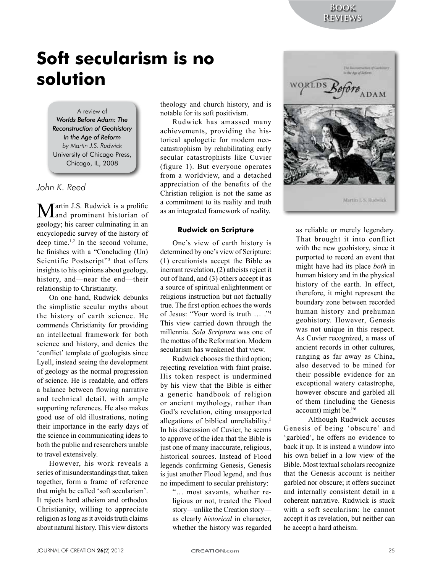**Book Reviews**

# **Soft secularism is no solution**

#### A review of

*Worlds Before Adam: The Reconstruction of Geohistory in the Age of Reform by Martin J.S. Rudwick* University of Chicago Press, Chicago, IL, 2008

## *John K. Reed*

 $\mathbf M$ artin J.S. Rudwick is a prolific<br>and prominent historian of geology; his career culminating in an encyclopedic survey of the history of deep time.<sup>1,2</sup> In the second volume, he finishes with a "Concluding  $(Un)$ Scientific Postscript"<sup>3</sup> that offers insights to his opinions about geology, history, and—near the end—their relationship to Christianity.

On one hand, Rudwick debunks the simplistic secular myths about the history of earth science. He commends Christianity for providing an intellectual framework for both science and history, and denies the 'conflict' template of geologists since Lyell, instead seeing the development of geology as the normal progression of science. He is readable, and offers a balance between flowing narrative and technical detail, with ample supporting references. He also makes good use of old illustrations, noting their importance in the early days of the science in communicating ideas to both the public and researchers unable to travel extensively.

However, his work reveals a series of misunderstandings that, taken together, form a frame of reference that might be called 'soft secularism'. It rejects hard atheism and orthodox Christianity, willing to appreciate religion as long as it avoids truth claims about natural history. This view distorts theology and church history, and is notable for its soft positivism.

Rudwick has amassed many achievements, providing the historical apologetic for modern neocatastrophism by rehabilitating early secular catastrophists like Cuvier (figure  $1$ ). But everyone operates from a worldview, and a detached appreciation of the benefits of the Christian religion is not the same as a commitment to its reality and truth as an integrated framework of reality.

## **Rudwick on Scripture**

One's view of earth history is determined by one's view of Scripture:  $(1)$  creationists accept the Bible as inerrant revelation,  $(2)$  atheists reject it out of hand, and  $(3)$  others accept it as a source of spiritual enlightenment or religious instruction but not factually true. The first option echoes the words of Jesus: "Your word is truth  $\ldots$  ."4 This view carried down through the millennia. *Sola Scriptura* was one of the mottos of the Reformation Modern secularism has weakened that view.

Rudwick chooses the third option; rejecting revelation with faint praise. His token respect is undermined by his view that the Bible is either a generic handbook of religion or ancient mythology, rather than God's revelation, citing unsupported allegations of biblical unreliability. $5$ In his discussion of Cuvier, he seems to approve of the idea that the Bible is just one of many inaccurate, religious, historical sources. Instead of Flood legends confirming Genesis, Genesis is just another Flood legend, and thus no impediment to secular prehistory:

"... most savants, whether religious or not, treated the Flood story—unlike the Creation story as clearly *historical* in character, whether the history was regarded



as reliable or merely legendary. That brought it into conflict with the new geohistory, since it purported to record an event that might have had its place *both* in human history and in the physical history of the earth. In effect, therefore, it might represent the boundary zone between recorded human history and prehuman geohistory. However, Genesis was not unique in this respect. As Cuvier recognized, a mass of ancient records in other cultures, ranging as far away as China, also deserved to be mined for their possible evidence for an exceptional watery catastrophe, however obscure and garbled all of them (including the Genesis account) might be."<sup>6</sup>

Although Rudwick accuses Genesis of being 'obscure' and 'garbled', he offers no evidence to back it up. It is instead a window into his own belief in a low view of the Bible. Most textual scholars recognize that the Genesis account is neither garbled nor obscure; it offers succinct and internally consistent detail in a coherent narrative. Rudwick is stuck with a soft secularism: he cannot accept it as revelation, but neither can he accept a hard atheism.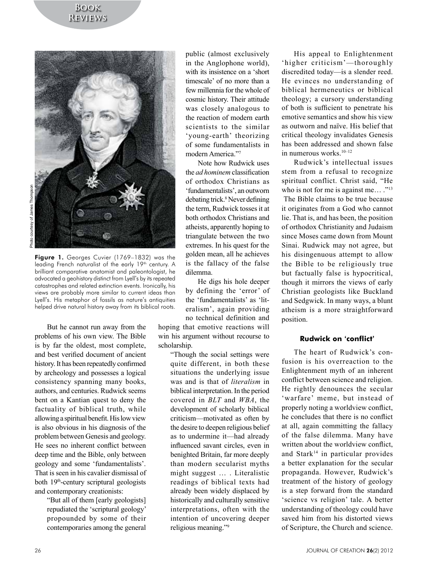

Figure 1. Georges Cuvier (1769-1832) was the leading French naturalist of the early 19<sup>th</sup> century. A brilliant comparative anatomist and paleontologist, he advocated a geohistory distinct from Lyell's by its repeated catastrophes and related extinction events. Ironically, his views are probably more similar to current ideas than Lyell's. His metaphor of fossils as nature's antiquities helped drive natural history away from its biblical roots.

But he cannot run away from the problems of his own view. The Bible is by far the oldest, most complete, and best verified document of ancient history. It has been repeatedly confirmed by archeology and possesses a logical consistency spanning many books, authors, and centuries. Rudwick seems bent on a Kantian quest to deny the factuality of biblical truth, while allowing a spiritual benefit. His low view is also obvious in his diagnosis of the problem between Genesis and geology. He sees no inherent conflict between deep time and the Bible, only between geology and some 'fundamentalists'. That is seen in his cavalier dismissal of both  $19<sup>th</sup>$ -century scriptural geologists and contemporary creationists:

> "But all of them [early geologists] repudiated the 'scriptural geology' propounded by some of their contemporaries among the general

public (almost exclusively in the Anglophone world), with its insistence on a 'short timescale' of no more than a few millennia for the whole of cosmic history. Their attitude was closely analogous to the reaction of modern earth scientists to the similar 'voung-earth' theorizing of some fundamentalists in modern America."7

Note how Rudwick uses the *ad hominem* classification of orthodox Christians as 'fundamentalists', an outworn debating trick.<sup>8</sup> Never defining the term. Rudwick tosses it at both orthodox Christians and atheists, apparently hoping to triangulate between the two extremes. In his quest for the golden mean, all he achieves is the fallacy of the false dilemma.

He digs his hole deeper by defining the 'error' of the 'fundamentalists' as 'literalism', again providing no technical definition and hoping that emotive reactions will win his argument without recourse to scholarship.

"Though the social settings were quite different, in both these situations the underlying issue was and is that of *literalism* in biblical interpretation. In the period covered in  $BLT$  and  $WBA$ , the development of scholarly biblical criticism—motivated as often by the desire to deepen religious belief as to undermine it—had already influenced savant circles, even in benighted Britain, far more deeply than modern secularist myths might suggest  $\ldots$  . Literalistic readings of biblical texts had already been widely displaced by historically and culturally sensitive interpretations, often with the intention of uncovering deeper religious meaning."<sup>9</sup>

His appeal to Enlightenment 'higher criticism'-thoroughly discredited today—is a slender reed. He evinces no understanding of biblical hermeneutics or biblical theology: a cursory understanding of both is sufficient to penetrate his emotive semantics and show his view as outworn and naïve. His belief that critical theology invalidates Genesis has been addressed and shown false in numerous works. $10-12$ 

Rudwick's intellectual issues stem from a refusal to recognize spiritual conflict. Christ said, "He who is not for me is against me... ." $^{13}$ The Bible claims to be true because it originates from a God who cannot lie. That is, and has been, the position of orthodox Christianity and Judaism since Moses came down from Mount Sinai. Rudwick may not agree, but his disingenuous attempt to allow the Bible to be religiously true but factually false is hypocritical, though it mirrors the views of early Christian geologists like Buckland and Sedgwick. In many ways, a blunt atheism is a more straightforward position.

#### **Rudwick on 'conflict'**

The heart of Rudwick's confusion is his overreaction to the Enlightenment myth of an inherent conflict between science and religion. He rightly denounces the secular 'warfare' meme, but instead of properly noting a worldview conflict, he concludes that there is no conflict at all, again committing the fallacy of the false dilemma. Many have written about the worldview conflict, and  $Stark<sup>14</sup>$  in particular provides a better explanation for the secular propaganda. However, Rudwick's treatment of the history of geology is a step forward from the standard 'science vs religion' tale. A better understanding of theology could have saved him from his distorted views of Scripture, the Church and science.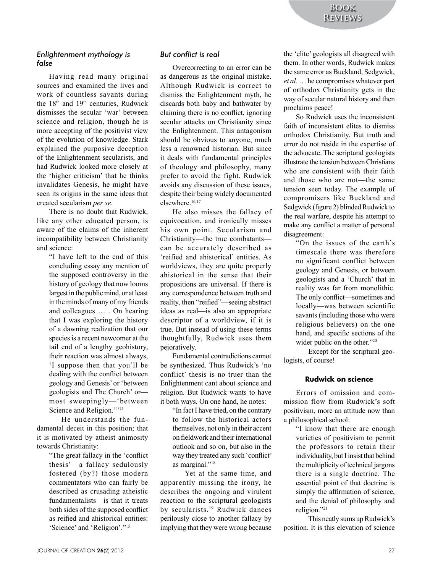#### *Enlightenment mythology is false*

Having read many original sources and examined the lives and work of countless savants during the  $18<sup>th</sup>$  and  $19<sup>th</sup>$  centuries. Rudwick dismisses the secular 'war' between science and religion, though he is more accepting of the positivist view of the evolution of knowledge. Stark explained the purposive deception of the Enlightenment secularists, and had Rudwick looked more closely at the 'higher criticism' that he thinks invalidates Genesis, he might have seen its origins in the same ideas that created secularism per se.

There is no doubt that Rudwick, like any other educated person, is aware of the claims of the inherent incompatibility between Christianity and science:

"I have left to the end of this concluding essay any mention of the supposed controversy in the history of geology that now looms largest in the public mind, or at least in the minds of many of my friends and colleagues ... . On hearing that I was exploring the history of a dawning realization that our species is a recent newcomer at the tail end of a lengthy geohistory, their reaction was almost always, 'I suppose then that you'll be dealing with the conflict between geology and Genesis' or 'between geologists and The Church' ormost sweepingly—'between Science and Religion."<sup>15</sup>

He understands the fundamental deceit in this position; that it is motivated by atheist animosity towards Christianity:

> "The great fallacy in the 'conflict thesis'—a fallacy sedulously fostered (by?) those modern commentators who can fairly be described as crusading atheistic fundamentalists—is that it treats both sides of the supposed conflict as reified and ahistorical entities: 'Science' and 'Religion'."<sup>15</sup>

#### *But conflict is real*

Overcorrecting to an error can be as dangerous as the original mistake. Although Rudwick is correct to dismiss the Enlightenment myth, he discards both baby and bathwater by claiming there is no conflict, ignoring secular attacks on Christianity since the Enlightenment. This antagonism should be obvious to anyone, much less a renowned historian. But since it deals with fundamental principles of theology and philosophy, many prefer to avoid the fight. Rudwick avoids any discussion of these issues, despite their being widely documented elsewhere.<sup>16,17</sup>

He also misses the fallacy of equivocation, and ironically misses his own point. Secularism and Christianity—the true combatants can be accurately described as 'reified and ahistorical' entities. As worldviews, they are quite properly ahistorical in the sense that their propositions are universal. If there is any correspondence between truth and reality, then "reified"—seeing abstract ideas as real—is also an appropriate descriptor of a worldview, if it is true. But instead of using these terms thoughtfully, Rudwick uses them pejoratively.'

Fundamental contradictions cannot be synthesized. Thus Rudwick's 'no conflict' thesis is no truer than the Enlightenment cant about science and religion. But Rudwick wants to have it both ways. On one hand, he notes:

"In fact I have tried, on the contrary to follow the historical actors themselves, not only in their accent on fieldwork and their international outlook and so on, but also in the way they treated any such 'conflict' as marginal."<sup>18</sup>

Yet at the same time, and apparently missing the irony, he describes the ongoing and virulent reaction to the scriptural geologists by secularists.<sup>19</sup> Rudwick dances perilously close to another fallacy by implying that they were wrong because

the 'elite' geologists all disagreed with them. In other words, Rudwick makes the same error as Buckland, Sedgwick, *et al.* ... he compromises whatever part of orthodox Christianity gets in the way of secular natural history and then proclaims peace!

So Rudwick uses the inconsistent faith of inconsistent elites to dismiss orthodox Christianity. But truth and error do not reside in the expertise of the advocate. The scriptural geologists illustrate the tension between Christians who are consistent with their faith and those who are not—the same tension seen today. The example of compromisers like Buckland and Sedgwick (figure 2) blinded Rudwick to the real warfare, despite his attempt to make any conflict a matter of personal disagreement:

"On the issues of the earth's timescale there was therefore no significant conflict between geology and Genesis, or between geologists and a 'Church' that in reality was far from monolithic. The only conflict—sometimes and locally—was between scientific savants (including those who were religious believers) on the one hand, and specific sections of the wider public on the other."20

Except for the scriptural geologists, of course!

#### **Rudwick on science**

Errors of omission and commission flow from Rudwick's soft positivism, more an attitude now than a philosophical school:

"I know that there are enough varieties of positivism to permit the professors to retain their individuality, but I insist that behind the multiplicity of technical jargons there is a single doctrine. The essential point of that doctrine is simply the affirmation of science, and the denial of philosophy and religion."21

This neatly sums up Rudwick's position. It is this elevation of science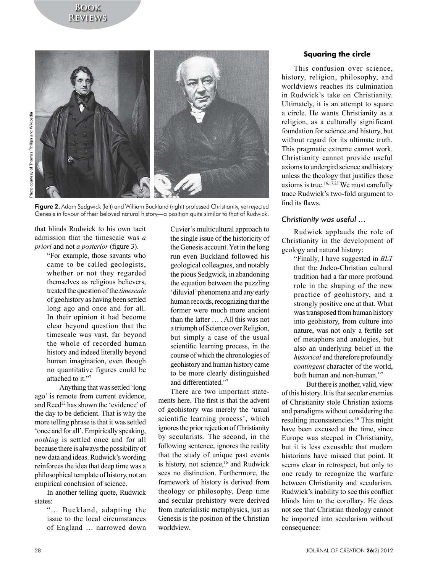# **Book Reviews**



Figure 2. Adam Sedgwick (left) and William Buckland (right) professed Christianity, yet rejected Genesis in favour of their beloved natural history—a position quite similar to that of Rudwick.

that blinds Rudwick to his own tacit admission that the timescale was a *priori* and not *a posterior* (figure 3).

"For example, those savants who came to be called geologists, whether or not they regarded themselves as religious believers, treated the question of the *timescale* of geohistory as having been settled long ago and once and for all. In their opinion it had become clear beyond question that the timescale was vast, far beyond the whole of recorded human history and indeed literally beyond human imagination, even though no quantitative figures could be attached to it."7

Anything that was settled 'long ago' is remote from current evidence. and Reed<sup>22</sup> has shown the 'evidence' of the day to be deficient. That is why the more telling phrase is that it was settled 'once and for all'. Empirically speaking, *nothing* is settled once and for all because there is always the possibility of new data and ideas. Rudwick's wording reinforces the idea that deep time was a philosophical template of history, not an empirical conclusion of science.

In another telling quote, Rudwick states:

"... Buckland, adapting the issue to the local circumstances of England ... narrowed down

Cuvier's multicultural approach to the single issue of the historicity of the Genesis account. Yet in the long run even Buckland followed his geological colleagues, and notably the pious Sedgwick, in abandoning the equation between the puzzling 'diluvial' phenomena and any early human records, recognizing that the former were much more ancient than the latter  $\dots$ . All this was not a triumph of Science over Religion, but simply a case of the usual scientific learning process, in the course of which the chronologies of geohistory and human history came to be more clearly distinguished and differentiated."7

There are two important statements here. The first is that the advent of geohistory was merely the 'usual scientific learning process', which ignores the prior rejection of Christianity by secularists. The second, in the following sentence, ignores the reality that the study of unique past events is history, not science, $16$  and Rudwick sees no distinction. Furthermore, the framework of history is derived from theology or philosophy. Deep time and secular prehistory were derived from materialistic metaphysics, just as Genesis is the position of the Christian worldview.

#### **Squaring the circle**

This confusion over science, history, religion, philosophy, and worldviews reaches its culmination in Rudwick's take on Christianity. Ultimately, it is an attempt to square a circle. He wants Christianity as a religion, as a culturally significant foundation for science and history, but without regard for its ultimate truth. This pragmatic extreme cannot work. Christianity cannot provide useful axioms to undergird science and history unless the theology that justifies those axioms is true.<sup>16,17,23</sup> We must carefully trace Rudwick's two-fold argument to find its flaws.

#### *Christianity was useful …*

Rudwick applauds the role of Christianity in the development of geology and natural history:

> "Finally, I have suggested in *BLT* that the Judeo-Christian cultural tradition had a far more profound role in the shaping of the new practice of geohistory, and a strongly positive one at that. What was transposed from human history into geohistory, from culture into nature, was not only a fertile set of metaphors and analogies, but also an underlying belief in the *historical* and therefore profoundly *contingent* character of the world, both human and non-human."7

But there is another, valid, view of this history. It is that secular enemies of Christianity stole Christian axioms and paradigms without considering the resulting inconsistencies.<sup>16</sup> This might have been excused at the time, since Europe was steeped in Christianity, but it is less excusable that modern historians have missed that point. It seems clear in retrospect, but only to one ready to recognize the warfare between Christianity and secularism. Rudwick's inability to see this conflict blinds him to the corollary. He does not see that Christian theology cannot be imported into secularism without consequence: